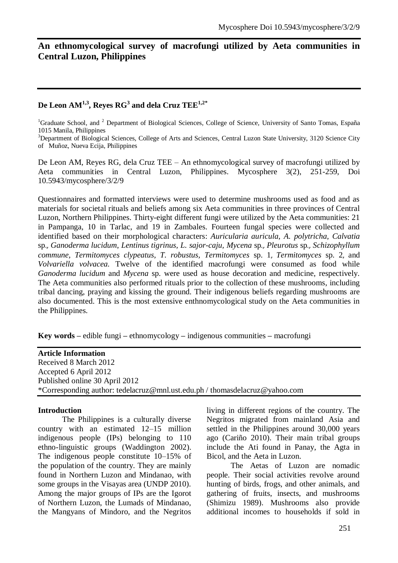# **An ethnomycological survey of macrofungi utilized by Aeta communities in Central Luzon, Philippines**

## **De Leon AM1,3, Reyes RG<sup>3</sup> and dela Cruz TEE1,2\***

 $1$ Graduate School, and  $2$  Department of Biological Sciences, College of Science, University of Santo Tomas, España 1015 Manila, Philippines

<sup>3</sup>Department of Biological Sciences, College of Arts and Sciences, Central Luzon State University, 3120 Science City of Muñoz, Nueva Ecija, Philippines

De Leon AM, Reyes RG, dela Cruz TEE – An ethnomycological survey of macrofungi utilized by Aeta communities in Central Luzon, Philippines. Mycosphere 3(2), 251-259, Doi 10.5943/mycosphere/3/2/9

Questionnaires and formatted interviews were used to determine mushrooms used as food and as materials for societal rituals and beliefs among six Aeta communities in three provinces of Central Luzon, Northern Philippines. Thirty-eight different fungi were utilized by the Aeta communities: 21 in Pampanga, 10 in Tarlac, and 19 in Zambales. Fourteen fungal species were collected and identified based on their morphological characters: *Auricularia auricula, A. polytricha, Calvatia*  sp.*, Ganoderma lucidum*, *Lentinus tigrinus, L. sajor-caju, Mycena* sp*., Pleurotus* sp*., Schizophyllum commune, Termitomyces clypeatus, T. robustus, Termitomyces* sp. 1, *Termitomyces* sp. 2, and *Volvariella volvacea.* Twelve of the identified macrofungi were consumed as food while *Ganoderma lucidum* and *Mycena* sp. were used as house decoration and medicine, respectively. The Aeta communities also performed rituals prior to the collection of these mushrooms, including tribal dancing, praying and kissing the ground. Their indigenous beliefs regarding mushrooms are also documented. This is the most extensive enthnomycological study on the Aeta communities in the Philippines.

**Key words –** edible fungi **–** ethnomycology **–** indigenous communities **–** macrofungi

| <b>Article Information</b>                                                  |
|-----------------------------------------------------------------------------|
| Received 8 March 2012                                                       |
| Accepted 6 April 2012                                                       |
| Published online 30 April 2012                                              |
| *Corresponding author: tedelacruz@mnl.ust.edu.ph / thomasdelacruz@yahoo.com |
|                                                                             |

#### **Introduction**

The Philippines is a culturally diverse country with an estimated 12–15 million indigenous people (IPs) belonging to 110 ethno-linguistic groups (Waddington 2002). The indigenous people constitute 10–15% of the population of the country. They are mainly found in Northern Luzon and Mindanao, with some groups in the Visayas area (UNDP 2010). Among the major groups of IPs are the Igorot of Northern Luzon, the Lumads of Mindanao, the Mangyans of Mindoro, and the Negritos living in different regions of the country. The Negritos migrated from mainland [Asia](http://en.wikipedia.org/wiki/Asia) and settled in the Philippines around 30,000 years ago (Cariño 2010). Their main tribal groups include the [Ati](http://en.wikipedia.org/wiki/Ati_(tribe)) found in Panay, the Agta in Bicol, and the [Aeta](http://en.wikipedia.org/wiki/Aeta) in Luzon.

The Aetas of Luzon are nomadic people. Their social activities revolve around hunting of birds, frogs, and other animals, and gathering of fruits, insects, and mushrooms (Shimizu 1989). Mushrooms also provide additional incomes to households if sold in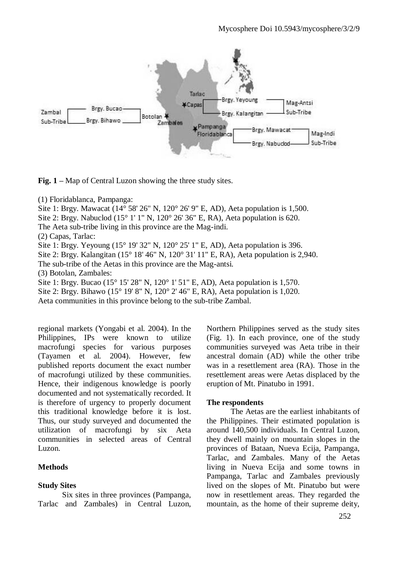

**Fig. 1 –** Map of Central Luzon showing the three study sites.

(1) Floridablanca, Pampanga:

Site 1: Brgy. Mawacat (14° 58' 26" N, 120° 26' 9" E, AD), Aeta population is 1,500.

Site 2: Brgy. Nabuclod (15° 1' 1" N, 120° 26' 36" E, RA), Aeta population is 620.

The Aeta sub-tribe living in this province are the Mag-indi.

(2) Capas, Tarlac:

Site 1: Brgy. Yeyoung (15° 19' 32" N, 120° 25' 1" E, AD), Aeta population is 396.

Site 2: Brgy. Kalangitan (15° 18' 46" N, 120° 31' 11" E, RA), Aeta population is 2,940.

The sub-tribe of the Aetas in this province are the Mag-antsi.

(3) Botolan, Zambales:

Site 1: Brgy. Bucao (15° 15' 28" N, 120° 1' 51" E, AD), Aeta population is 1,570. Site 2: Brgy. Bihawo (15° 19' 8" N, 120° 2' 46" E, RA), Aeta population is 1,020. Aeta communities in this province belong to the sub-tribe Zambal.

regional markets (Yongabi et al. 2004). In the Philippines, IPs were known to utilize macrofungi species for various purposes (Tayamen et al. 2004). However, few published reports document the exact number of macrofungi utilized by these communities. Hence, their indigenous knowledge is poorly documented and not systematically recorded. It is therefore of urgency to properly document this traditional knowledge before it is lost. Thus, our study surveyed and documented the utilization of macrofungi by six Aeta communities in selected areas of Central Luzon.

## **Methods**

### **Study Sites**

Six sites in three provinces (Pampanga, Tarlac and Zambales) in Central Luzon,

Northern Philippines served as the study sites (Fig. 1). In each province, one of the study communities surveyed was Aeta tribe in their ancestral domain (AD) while the other tribe was in a resettlement area (RA). Those in the resettlement areas were Aetas displaced by the eruption of Mt. Pinatubo in 1991.

## **The respondents**

The Aetas are the earliest inhabitants of the Philippines. Their estimated population is around 140,500 individuals. In Central Luzon, they dwell mainly on mountain slopes in the provinces of Bataan, Nueva Ecija, Pampanga, Tarlac, and Zambales. Many of the Aetas living in Nueva Ecija and some towns in Pampanga, Tarlac and Zambales previously lived on the slopes of Mt. Pinatubo but were now in resettlement areas. They regarded the mountain, as the home of their supreme deity,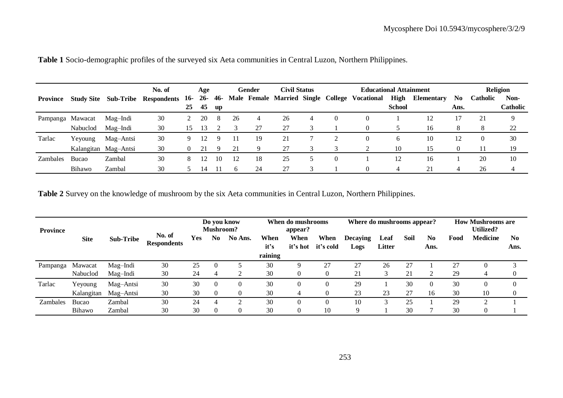|                  |                   |                      | No. of             |          | Age   |     | <b>Civil Status</b><br><b>Educational Attainment</b><br>Gender |    |    | Religion |                                               |               |                   |      |                 |                 |
|------------------|-------------------|----------------------|--------------------|----------|-------|-----|----------------------------------------------------------------|----|----|----------|-----------------------------------------------|---------------|-------------------|------|-----------------|-----------------|
| Province         | <b>Study Site</b> | Sub-Tribe            | <b>Respondents</b> | 16-      | $26-$ | 46- |                                                                |    |    |          | Male Female Married Single College Vocational | High          | <b>Elementary</b> | No.  | <b>Catholic</b> | Non-            |
|                  |                   |                      |                    | 25       | 45    | up  |                                                                |    |    |          |                                               | <b>School</b> |                   | Ans. |                 | <b>Catholic</b> |
| Pampanga Mawacat |                   | Mag–Indi             | 30                 |          | 20    | -8  | 26                                                             | 4  | 26 | 4        | $\Omega$                                      |               | 12                | 17   | 21              | q               |
|                  | Nabuclod          | Mag-Indi             | 30                 | 15       | 13    |     |                                                                | 27 | 27 |          | $\Omega$                                      |               | 16                | 8    | 8               | 22              |
| Tarlac           | Yeyoung           | Mag-Antsi            | 30                 | 9        |       | Q.  |                                                                | 19 | 21 |          | $\Omega$                                      | h.            | 10                | 12   |                 | 30              |
|                  |                   | Kalangitan Mag-Antsi | 30                 | $\Omega$ | 21    | -9  | 21                                                             |    | 27 |          |                                               | 10            | 15                | 0    | 11              | 19              |
| <b>Zambales</b>  | <b>Bucao</b>      | Zambal               | 30                 | 8        |       |     | 12                                                             | 18 | 25 |          |                                               | 12            | 16                |      | 20              | 10              |
|                  | Bihawo            | Zambal               | 30                 |          | 14    |     |                                                                | 24 | 27 |          |                                               |               | 21                |      | 26              |                 |

|  |  |  |  |  |  | Table 1 Socio-demographic profiles of the surveyed six Aeta communities in Central Luzon, Northern Philippines. |
|--|--|--|--|--|--|-----------------------------------------------------------------------------------------------------------------|
|--|--|--|--|--|--|-----------------------------------------------------------------------------------------------------------------|

**Table 2** Survey on the knowledge of mushroom by the six Aeta communities in Central Luzon, Northern Philippines.

| <b>Province</b> |             |                  |                              | Do you know<br>Mushroom? |                | When do mushrooms<br>appear? |                         | Where do mushrooms appear? |                   |                         |                | <b>How Mushrooms are</b><br><b>Utilized?</b> |            |      |                 |                        |
|-----------------|-------------|------------------|------------------------------|--------------------------|----------------|------------------------------|-------------------------|----------------------------|-------------------|-------------------------|----------------|----------------------------------------------|------------|------|-----------------|------------------------|
|                 | <b>Site</b> | <b>Sub-Tribe</b> | No. of<br><b>Respondents</b> | Yes                      | N <sub>0</sub> | No Ans.                      | When<br>it's<br>raining | When<br>it's hot           | When<br>it's cold | <b>Decaying</b><br>Logs | Leaf<br>Litter | <b>Soil</b>                                  | No<br>Ans. | Food | <b>Medicine</b> | N <sub>0</sub><br>Ans. |
| Pampanga        | Mawacat     | Mag-Indi         | 30                           | 25                       | $\Omega$       |                              | 30                      |                            | 27                | 27                      | 26             | 27                                           |            | 27   |                 |                        |
|                 | Nabuclod    | Mag-Indi         | 30                           | 24                       | 4              |                              | 30                      |                            |                   | 21                      | ⌒              | 21                                           |            | 29   | 4               |                        |
| Tarlac          | Yeyoung     | Mag-Antsi        | 30                           | 30                       | $\Omega$       |                              | 30                      |                            |                   | 29                      |                | 30                                           |            | 30   | $\mathbf{0}$    |                        |
|                 | Kalangitan  | Mag-Antsi        | 30                           | 30                       |                |                              | 30                      |                            |                   | 23                      | 23             | 27                                           | 16         | 30   | 10              | $\theta$               |
| Zambales        | Bucao       | Zambal           | 30                           | 24                       | 4              |                              | 30                      |                            |                   | 10                      |                | 25                                           |            | 29   | $\bigcap$       |                        |
|                 | Bihawo      | Zambal           | 30                           | 30                       |                |                              | 30                      |                            | 10                | 9                       |                | 30                                           |            | 30   | 0               |                        |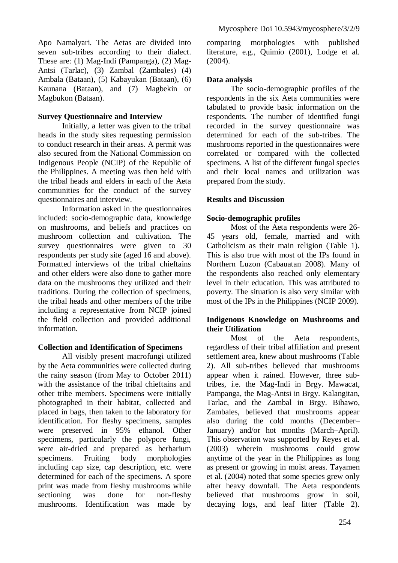Apo Namalyari. The Aetas are divided into seven sub-tribes according to their dialect. These are: (1) Mag-Indi (Pampanga), (2) Mag-Antsi (Tarlac), (3) Zambal (Zambales) (4) Ambala (Bataan), (5) Kabayukan (Bataan), (6) Kaunana (Bataan), and (7) Magbekin or Magbukon (Bataan).

#### **Survey Questionnaire and Interview**

Initially, a letter was given to the tribal heads in the study sites requesting permission to conduct research in their areas. A permit was also secured from the National Commission on Indigenous People (NCIP) of the Republic of the Philippines. A meeting was then held with the tribal heads and elders in each of the Aeta communities for the conduct of the survey questionnaires and interview.

Information asked in the questionnaires included: socio-demographic data, knowledge on mushrooms, and beliefs and practices on mushroom collection and cultivation. The survey questionnaires were given to 30 respondents per study site (aged 16 and above). Formatted interviews of the tribal chieftains and other elders were also done to gather more data on the mushrooms they utilized and their traditions. During the collection of specimens, the tribal heads and other members of the tribe including a representative from NCIP joined the field collection and provided additional information.

### **Collection and Identification of Specimens**

All visibly present macrofungi utilized by the Aeta communities were collected during the rainy season (from May to October 2011) with the assistance of the tribal chieftains and other tribe members. Specimens were initially photographed in their habitat, collected and placed in bags, then taken to the laboratory for identification. For fleshy specimens, samples were preserved in 95% ethanol. Other specimens, particularly the polypore fungi, were air-dried and prepared as herbarium specimens. Fruiting body morphologies including cap size, cap description, etc. were determined for each of the specimens. A spore print was made from fleshy mushrooms while sectioning was done for non-fleshy mushrooms. Identification was made by comparing morphologies with published literature, e.g., Quimio (2001), Lodge et al. (2004).

#### **Data analysis**

The socio-demographic profiles of the respondents in the six Aeta communities were tabulated to provide basic information on the respondents. The number of identified fungi recorded in the survey questionnaire was determined for each of the sub-tribes. The mushrooms reported in the questionnaires were correlated or compared with the collected specimens. A list of the different fungal species and their local names and utilization was prepared from the study.

### **Results and Discussion**

### **Socio-demographic profiles**

Most of the Aeta respondents were 26- 45 years old, female, married and with Catholicism as their main religion (Table 1). This is also true with most of the IPs found in Northern Luzon (Cabauatan 2008). Many of the respondents also reached only elementary level in their education. This was attributed to poverty. The situation is also very similar with most of the IPs in the Philippines (NCIP 2009).

### **Indigenous Knowledge on Mushrooms and their Utilization**

Most of the Aeta respondents, regardless of their tribal affiliation and present settlement area, knew about mushrooms (Table 2). All sub-tribes believed that mushrooms appear when it rained. However, three subtribes, i.e. the Mag-Indi in Brgy. Mawacat, Pampanga, the Mag-Antsi in Brgy. Kalangitan, Tarlac, and the Zambal in Brgy. Bihawo, Zambales, believed that mushrooms appear also during the cold months (December– January) and/or hot months (March–April). This observation was supported by Reyes et al. (2003) wherein mushrooms could grow anytime of the year in the Philippines as long as present or growing in moist areas. Tayamen et al. (2004) noted that some species grew only after heavy downfall. The Aeta respondents believed that mushrooms grow in soil, decaying logs, and leaf litter (Table 2).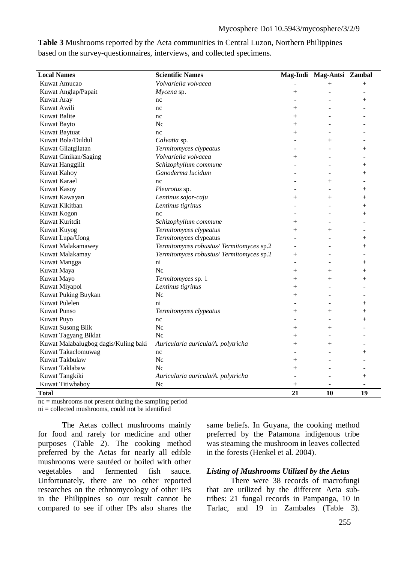| <b>Local Names</b>                   | <b>Scientific Names</b>                 | Mag-Indi                 | Mag-Antsi Zambal |                          |
|--------------------------------------|-----------------------------------------|--------------------------|------------------|--------------------------|
| Kuwat Amucao                         | Volvariella volvacea                    |                          | $^{+}$           | $^{+}$                   |
| Kuwat Anglap/Papait                  | Mycena sp.                              | $^{+}$                   |                  |                          |
| Kuwat Aray                           | nc                                      |                          |                  | $^{+}$                   |
| Kuwat Awili                          | nc                                      | $^{+}$                   |                  |                          |
| <b>Kuwat Balite</b>                  | nc                                      | $^{+}$                   |                  |                          |
| Kuwat Bayto                          | Nc                                      | $+$                      | ۳                |                          |
| Kuwat Baytuat                        | nc                                      | $^{+}$                   |                  |                          |
| Kuwat Bola/Duldul                    | Calvatia sp.                            |                          | $^{+}$           |                          |
| Kuwat Gilatgilatan                   | Termitomyces clypeatus                  |                          |                  | $^{+}$                   |
| Kuwat Ginikan/Saging                 | Volvariella volvacea                    | $^{+}$                   |                  |                          |
| Kuwat Hanggilit                      | Schizophyllum commune                   |                          |                  | $^{+}$                   |
| Kuwat Kahoy                          | Ganoderma lucidum                       |                          |                  | $^{+}$                   |
| Kuwat Karael                         | nc                                      |                          | $^{+}$           | $\overline{a}$           |
| Kuwat Kasoy                          | Pleurotus sp.                           |                          |                  | $+$                      |
| Kuwat Kawayan                        | Lentinus sajor-caju                     | $^{+}$                   | $^{+}$           | $^{+}$                   |
| Kuwat Kikitban                       | Lentinus tigrinus                       |                          |                  | $^{+}$                   |
| Kuwat Kogon                          | nc                                      |                          |                  | $^{+}$                   |
| Kuwat Kuritdit                       | Schizophyllum commune                   | $^{+}$                   |                  |                          |
| Kuwat Kuyog                          | Termitomyces clypeatus                  | $^{+}$                   | $^{+}$           | $\overline{\phantom{a}}$ |
| Kuwat Lupa/Uong                      | Termitomyces clypeatus                  |                          |                  | $^{+}$                   |
| Kuwat Malakamawey                    | Termitomyces robustus/Termitomyces sp.2 | ٠                        |                  | $+$                      |
| Kuwat Malakamay                      | Termitomyces robustus/Termitomyces sp.2 | $^{+}$                   |                  |                          |
| Kuwat Mangga                         | ni                                      | L.                       |                  | $^{+}$                   |
| Kuwat Maya                           | Nc                                      | $^{+}$                   | $^{+}$           | $^{+}$                   |
| Kuwat Mayo                           | Termitomyces sp. 1                      | $^{+}$                   | $^{+}$           | $\overline{+}$           |
| Kuwat Miyapol                        | Lentinus tigrinus                       | $^{+}$                   | ۳                | ٠                        |
| Kuwat Puking Buykan                  | Nc.                                     | $^{+}$                   |                  |                          |
| Kuwat Pulelen                        | $\overline{\text{ni}}$                  |                          |                  | $^{+}$                   |
| <b>Kuwat Punso</b>                   | Termitomyces clypeatus                  | $^{+}$                   | $^{+}$           | $^{+}$                   |
| Kuwat Puyo                           | nc                                      |                          |                  | $^{+}$                   |
| Kuwat Susong Biik                    | Nc                                      | $^{+}$                   | $^{+}$           |                          |
| Kuwat Tagyang Biklat                 | Nc                                      | $\overline{+}$           | ÷,               | $\overline{a}$           |
| Kuwat Malabalugbog dagis/Kuling baki | Auricularia auricula/A. polytricha      | $^{+}$                   | $^{+}$           |                          |
| Kuwat Takaclomuwag                   | nc                                      | $\overline{\phantom{a}}$ |                  | $^{+}$                   |
| Kuwat Takbulaw                       | Nc                                      | $\overline{+}$           |                  |                          |
| Kuwat Taklabaw                       | Nc                                      | $^{+}$                   |                  |                          |
| Kuwat Tangkiki                       | Auricularia auricula/A. polytricha      | $\overline{a}$           |                  | $^{+}$                   |
| Kuwat Titiwbaboy                     | Nc                                      | $^{+}$                   |                  |                          |
| <b>Total</b>                         |                                         | 21                       | 10               | 19                       |

**Table 3** Mushrooms reported by the Aeta communities in Central Luzon, Northern Philippines based on the survey-questionnaires, interviews, and collected specimens.

 $nc =$  mushrooms not present during the sampling period

 $ni =$  collected mushrooms, could not be identified

The Aetas collect mushrooms mainly for food and rarely for medicine and other purposes (Table 2). The cooking method preferred by the Aetas for nearly all edible mushrooms were sautéed or boiled with other vegetables and fermented fish sauce. Unfortunately, there are no other reported researches on the ethnomycology of other IPs in the Philippines so our result cannot be compared to see if other IPs also shares the

same beliefs. In Guyana, the cooking method preferred by the Patamona indigenous tribe was steaming the mushroom in leaves collected in the forests (Henkel et al. 2004).

#### *Listing of Mushrooms Utilized by the Aetas*

There were 38 records of macrofungi that are utilized by the different Aeta subtribes: 21 fungal records in Pampanga, 10 in Tarlac, and 19 in Zambales (Table 3).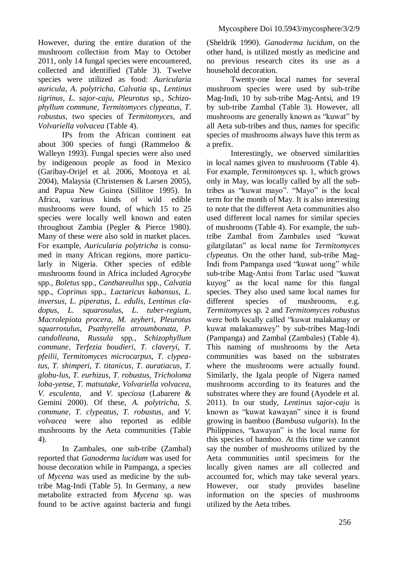However, during the entire duration of the mushroom collection from May to October 2011, only 14 fungal species were encountered, collected and identified (Table 3). Twelve species were utilized as food: *Auricularia auricula, A. polytricha, Calvatia* sp*., Lentinus tigrinus, L. sajor-caju, Pleurotus* sp*., Schizophyllum commune, Termitomyces clypeatus, T. robustus,* two species of *Termitomyces,* and *Volvariella volvacea* (Table 4).

IPs from the African continent eat about 300 species of fungi (Rammeloo & Walleyn 1993). Fungal species were also used by indigenous people as food in Mexico (Garibay-Orijel et al. 2006, Montoya et al. 2004), Malaysia (Christensen & Larsen 2005), and Papua New Guinea (Sillitoe 1995). In Africa, various kinds of wild edible mushrooms were found, of which 15 to 25 species were locally well known and eaten throughout Zambia (Pegler & Pierce 1980). Many of these were also sold in market places. For example, *Auricularia polytricha* is consumed in many African regions, more particularly in Nigeria. Other species of edible mushrooms found in Africa included *Agrocybe*  spp., *Boletus* spp., *Canthareullus* spp., *Calvatia* spp., *Coprinus* spp., *Lactaricus kabansus*, *L*. *inversus*, *L. piperatus*, *L. edulis*, *Lentinus cladopus*, *L. squarosulus*, *L. tuber-regium*, *Macrolepiota procera*, *M. zeyheri*, *Pleurotus squarrosulus*, *Psathyrella atroumbonata, P. candolleana, Russula* spp*., Schizophyllum commune, Terfezia boudieri, T. claveryi, T. pfeilii, Termitomyces microcarpus, T. clypeatus, T. shimperi, T. titanicus, T. auratiacus, T. globu-lus, T. eurhizus, T. robustus, Tricholoma loba-yense, T. matsutake, Volvariella volvacea, V. esculenta*, and *V. speciosa* (Labarere & Gemini 2000). Of these, *A. polytricha, S. commune, T. clypeatus, T. robustus,* and *V. volvacea* were also reported as edible mushrooms by the Aeta communities (Table 4).

In Zambales, one sub-tribe (Zambal) reported that *Ganoderma lucidum* was used for house decoration while in Pampanga, a species of *Mycena* was used as medicine by the subtribe Mag-Indi (Table 5). In Germany, a new metabolite extracted from *Mycena* sp. was found to be active against bacteria and fungi

(Sheldrik 1990). *Ganoderma lucidum*, on the other hand, is utilized mostly as medicine and no previous research cites its use as a household decoration.

Twenty-one local names for several mushroom species were used by sub-tribe Mag-Indi, 10 by sub-tribe Mag-Antsi, and 19 by sub-tribe Zambal (Table 3). However, all mushrooms are generally known as "kuwat" by all Aeta sub-tribes and thus, names for specific species of mushrooms always have this term as a prefix.

Interestingly, we observed similarities in local names given to mushrooms (Table 4). For example, *Termitomyces* sp. 1, which grows only in May, was locally called by all the subtribes as "kuwat mayo". "Mayo" is the local term for the month of May. It is also interesting to note that the different Aeta communities also used different local names for similar species of mushrooms (Table 4). For example, the subtribe Zambal from Zambales used "kuwat gilatgilatan" as local name for *Termitomyces clypeatus.* On the other hand, sub-tribe Mag-Indi from Pampanga used "kuwat uong" while sub-tribe Mag-Antsi from Tarlac used "kuwat kuyog" as the local name for this fungal species. They also used same local names for different species of mushrooms, e.g. *Termitomyces* sp*.* 2 and *Termitomyces robustus* were both locally called "kuwat malakamay or kuwat malakamawey" by sub-tribes Mag-Indi (Pampanga) and Zambal (Zambales) (Table 4). This naming of mushrooms by the Aeta communities was based on the substrates where the mushrooms were actually found. Similarly, the Igala people of Nigera named mushrooms according to its features and the substrates where they are found (Ayodele et al. 2011). In our study, *Lentinus sajor-caju* is known as "kuwat kawayan" since it is found growing in bamboo (*Bambusa vulgaris*). In the Philippines, "kawayan" is the local name for this species of bamboo. At this time we cannot say the number of mushrooms utilized by the Aeta communities until specimens for the locally given names are all collected and accounted for, which may take several years. However, our study provides baseline information on the species of mushrooms utilized by the Aeta tribes.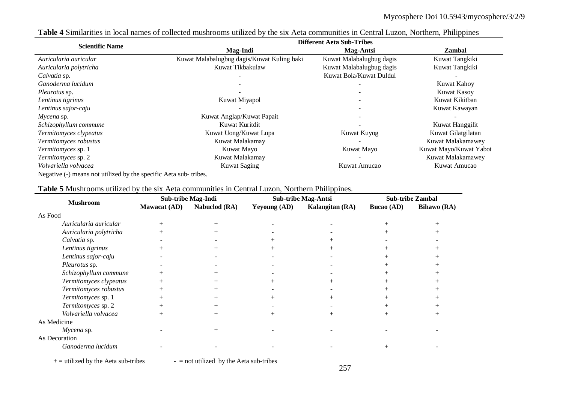| <b>Scientific Name</b>    | <b>Different Aeta Sub-Tribes</b>           |                          |                        |  |  |  |  |  |  |
|---------------------------|--------------------------------------------|--------------------------|------------------------|--|--|--|--|--|--|
|                           | Mag-Indi                                   | <b>Mag-Antsi</b>         | <b>Zambal</b>          |  |  |  |  |  |  |
| Auricularia auricular     | Kuwat Malabalugbug dagis/Kuwat Kuling baki | Kuwat Malabalugbug dagis | Kuwat Tangkiki         |  |  |  |  |  |  |
| Auricularia polytricha    | Kuwat Tikbakulaw                           | Kuwat Malabalugbug dagis | Kuwat Tangkiki         |  |  |  |  |  |  |
| Calvatia sp.              |                                            | Kuwat Bola/Kuwat Duldul  |                        |  |  |  |  |  |  |
| Ganoderma lucidum         |                                            |                          | Kuwat Kahoy            |  |  |  |  |  |  |
| <i>Pleurotus</i> sp.      |                                            |                          | <b>Kuwat Kasoy</b>     |  |  |  |  |  |  |
| Lentinus tigrinus         | Kuwat Miyapol                              |                          | Kuwat Kikitban         |  |  |  |  |  |  |
| Lentinus sajor-caju       |                                            |                          | Kuwat Kawayan          |  |  |  |  |  |  |
| $Mycena$ sp.              | Kuwat Anglap/Kuwat Papait                  |                          |                        |  |  |  |  |  |  |
| Schizophyllum commune     | Kuwat Kuritdit                             |                          | Kuwat Hanggilit        |  |  |  |  |  |  |
| Termitomyces clypeatus    | Kuwat Uong/Kuwat Lupa                      | Kuwat Kuyog              | Kuwat Gilatgilatan     |  |  |  |  |  |  |
| Termitomyces robustus     | Kuwat Malakamay                            |                          | Kuwat Malakamawey      |  |  |  |  |  |  |
| <i>Termitomyces</i> sp. 1 | Kuwat Mayo                                 | Kuwat Mayo               | Kuwat Mayo/Kuwat Yabot |  |  |  |  |  |  |
| Termitomyces sp. 2        | Kuwat Malakamay                            |                          | Kuwat Malakamawey      |  |  |  |  |  |  |
| Volvariella volvacea      | <b>Kuwat Saging</b>                        | Kuwat Amucao             | Kuwat Amucao           |  |  |  |  |  |  |

**Table 4** Similarities in local names of collected mushrooms utilized by the six Aeta communities in Central Luzon, Northern, Philippines

Negative (-) means not utilized by the specific Aeta sub- tribes.

|  |  | Table 5 Mushrooms utilized by the six Aeta communities in Central Luzon, Northern Philippines. |
|--|--|------------------------------------------------------------------------------------------------|
|--|--|------------------------------------------------------------------------------------------------|

|                        |                     | Sub-tribe Mag-Indi |                     | <b>Sub-tribe Mag-Antsi</b> | <b>Sub-tribe Zambal</b> |             |  |
|------------------------|---------------------|--------------------|---------------------|----------------------------|-------------------------|-------------|--|
| <b>Mushroom</b>        | <b>Mawacat</b> (AD) | Nabuclod (RA)      | <b>Yeyoung</b> (AD) | Kalangitan (RA)            | <b>Bucao</b> (AD)       | Bihawo (RA) |  |
| As Food                |                     |                    |                     |                            |                         |             |  |
| Auricularia auricular  |                     |                    |                     |                            |                         |             |  |
| Auricularia polytricha |                     |                    |                     |                            |                         |             |  |
| Calvatia sp.           |                     |                    |                     |                            |                         |             |  |
| Lentinus tigrinus      |                     |                    |                     |                            |                         |             |  |
| Lentinus sajor-caju    |                     |                    |                     |                            |                         |             |  |
| <i>Pleurotus</i> sp.   |                     |                    |                     |                            |                         |             |  |
| Schizophyllum commune  |                     |                    |                     |                            |                         |             |  |
| Termitomyces clypeatus |                     |                    |                     |                            |                         |             |  |
| Termitomyces robustus  |                     |                    |                     |                            |                         |             |  |
| Termitomyces sp. 1     |                     |                    |                     |                            |                         |             |  |
| Termitomyces sp. 2     |                     |                    |                     |                            |                         |             |  |
| Volvariella volvacea   | $^{+}$              |                    |                     |                            |                         |             |  |
| As Medicine            |                     |                    |                     |                            |                         |             |  |
| Mycena sp.             |                     |                    |                     |                            |                         |             |  |
| As Decoration          |                     |                    |                     |                            |                         |             |  |
| Ganoderma lucidum      |                     |                    |                     |                            |                         |             |  |

 $+$  = utilized by the Aeta sub-tribes  $-$  = not utilized by the Aeta sub-tribes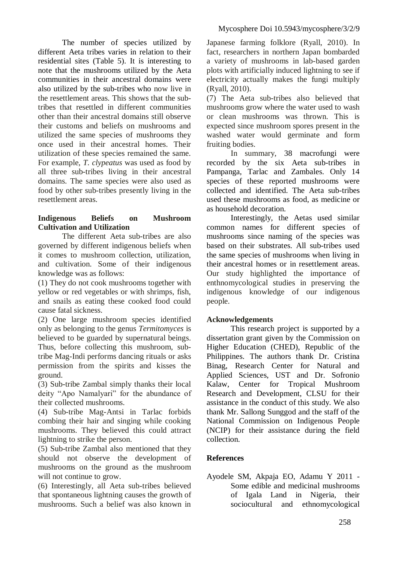The number of species utilized by different Aeta tribes varies in relation to their residential sites (Table 5). It is interesting to note that the mushrooms utilized by the Aeta communities in their ancestral domains were also utilized by the sub-tribes who now live in the resettlement areas. This shows that the subtribes that resettled in different communities other than their ancestral domains still observe their customs and beliefs on mushrooms and utilized the same species of mushrooms they once used in their ancestral homes. Their utilization of these species remained the same. For example, *T. clypeatus* was used as food by all three sub-tribes living in their ancestral domains. The same species were also used as food by other sub-tribes presently living in the resettlement areas.

### **Indigenous Beliefs on Mushroom Cultivation and Utilization**

The different Aeta sub-tribes are also governed by different indigenous beliefs when it comes to mushroom collection, utilization, and cultivation. Some of their indigenous knowledge was as follows:

(1) They do not cook mushrooms together with yellow or red vegetables or with shrimps, fish, and snails as eating these cooked food could cause fatal sickness.

(2) One large mushroom species identified only as belonging to the genus *Termitomyces* is believed to be guarded by supernatural beings. Thus, before collecting this mushroom, subtribe Mag-Indi performs dancing rituals or asks permission from the spirits and kisses the ground.

(3) Sub-tribe Zambal simply thanks their local deity "Apo Namalyari" for the abundance of their collected mushrooms.

(4) Sub-tribe Mag-Antsi in Tarlac forbids combing their hair and singing while cooking mushrooms. They believed this could attract lightning to strike the person.

(5) Sub-tribe Zambal also mentioned that they should not observe the development of mushrooms on the ground as the mushroom will not continue to grow.

(6) Interestingly, all Aeta sub-tribes believed that spontaneous lightning causes the growth of mushrooms. Such a belief was also known in Japanese farming folklore (Ryall, 2010). In fact, researchers in northern Japan bombarded a variety of mushrooms in lab-based garden plots with artificially induced lightning to see if electricity actually makes the fungi multiply (Ryall, 2010).

(7) The Aeta sub-tribes also believed that mushrooms grow where the water used to wash or clean mushrooms was thrown. This is expected since mushroom spores present in the washed water would germinate and form fruiting bodies.

In summary, 38 macrofungi were recorded by the six Aeta sub-tribes in Pampanga, Tarlac and Zambales. Only 14 species of these reported mushrooms were collected and identified. The Aeta sub-tribes used these mushrooms as food, as medicine or as household decoration.

Interestingly, the Aetas used similar common names for different species of mushrooms since naming of the species was based on their substrates. All sub-tribes used the same species of mushrooms when living in their ancestral homes or in resettlement areas. Our study highlighted the importance of enthnomycological studies in preserving the indigenous knowledge of our indigenous people.

### **Acknowledgements**

This research project is supported by a dissertation grant given by the Commission on Higher Education (CHED), Republic of the Philippines. The authors thank Dr. Cristina Binag, Research Center for Natural and Applied Sciences, UST and Dr. Sofronio Kalaw, Center for Tropical Mushroom Research and Development, CLSU for their assistance in the conduct of this study. We also thank Mr. Sallong Sunggod and the staff of the National Commission on Indigenous People (NCIP) for their assistance during the field collection.

## **References**

Ayodele SM, Akpaja EO, Adamu Y 2011 - Some edible and medicinal mushrooms of Igala Land in Nigeria, their sociocultural and ethnomycological